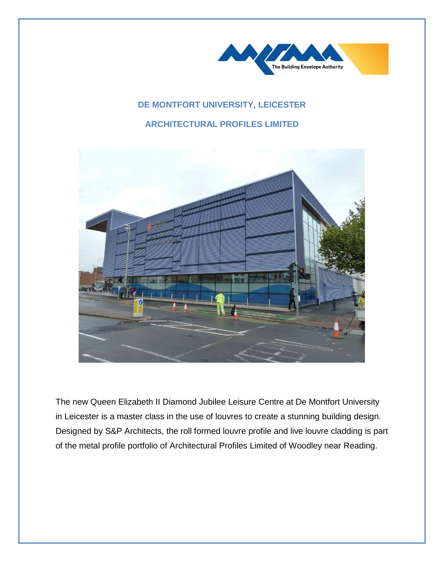

## **DE MONTFORT UNIVERSITY, LEICESTER**

## **ARCHITECTURAL PROFILES LIMITED**



The new Queen Elizabeth II Diamond Jubilee Leisure Centre at De Montfort University in Leicester is a master class in the use of louvres to create a stunning building design. Designed by S&P Architects, the roll formed louvre profile and live louvre cladding is part of the metal profile portfolio of Architectural Profiles Limited of Woodley near Reading.